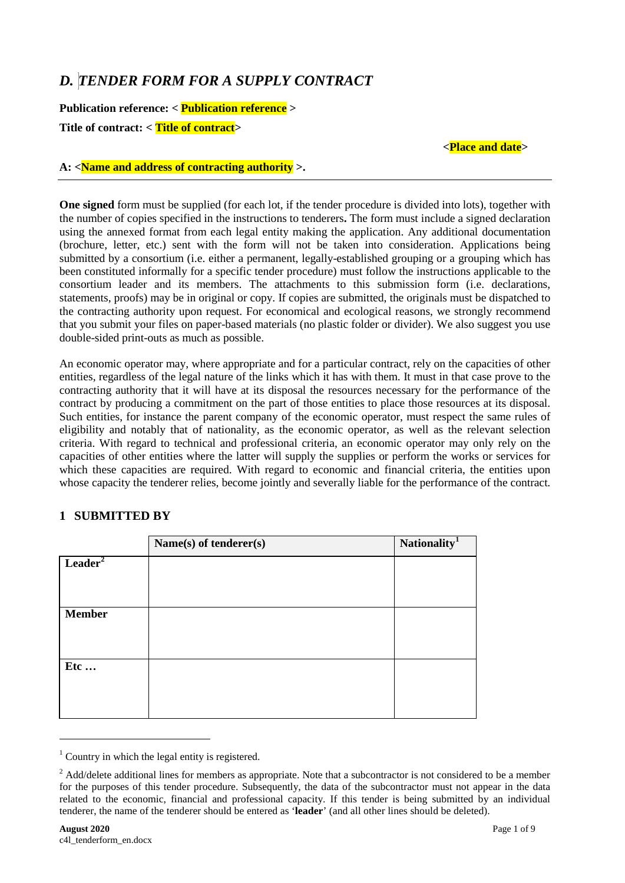# *D. TENDER FORM FOR A SUPPLY CONTRACT*

**Publication reference: < Publication reference > Title of contract: < Title of contract>**

#### **<Place and date>**

### **A: <Name and address of contracting authority >.**

**One signed** form must be supplied (for each lot, if the tender procedure is divided into lots), together with the number of copies specified in the instructions to tenderers**.** The form must include a signed declaration using the annexed format from each legal entity making the application. Any additional documentation (brochure, letter, etc.) sent with the form will not be taken into consideration. Applications being submitted by a consortium (i.e. either a permanent, legally-established grouping or a grouping which has been constituted informally for a specific tender procedure) must follow the instructions applicable to the consortium leader and its members. The attachments to this submission form (i.e. declarations, statements, proofs) may be in original or copy. If copies are submitted, the originals must be dispatched to the contracting authority upon request. For economical and ecological reasons, we strongly recommend that you submit your files on paper-based materials (no plastic folder or divider). We also suggest you use double-sided print-outs as much as possible.

An economic operator may, where appropriate and for a particular contract, rely on the capacities of other entities, regardless of the legal nature of the links which it has with them. It must in that case prove to the contracting authority that it will have at its disposal the resources necessary for the performance of the contract by producing a commitment on the part of those entities to place those resources at its disposal. Such entities, for instance the parent company of the economic operator, must respect the same rules of eligibility and notably that of nationality, as the economic operator, as well as the relevant selection criteria. With regard to technical and professional criteria, an economic operator may only rely on the capacities of other entities where the latter will supply the supplies or perform the works or services for which these capacities are required. With regard to economic and financial criteria, the entities upon whose capacity the tenderer relies, become jointly and severally liable for the performance of the contract.

# **1 SUBMITTED BY**

|                     | Name(s) of tenderer(s) | Nationality <sup>1</sup> |
|---------------------|------------------------|--------------------------|
| Leader <sup>2</sup> |                        |                          |
|                     |                        |                          |
| <b>Member</b>       |                        |                          |
|                     |                        |                          |
|                     |                        |                          |
| Etc                 |                        |                          |
|                     |                        |                          |
|                     |                        |                          |

-

<span id="page-0-0"></span> $1$  Country in which the legal entity is registered.

<span id="page-0-1"></span><sup>&</sup>lt;sup>2</sup> Add/delete additional lines for members as appropriate. Note that a subcontractor is not considered to be a member for the purposes of this tender procedure. Subsequently, the data of the subcontractor must not appear in the data related to the economic, financial and professional capacity. If this tender is being submitted by an individual tenderer, the name of the tenderer should be entered as '**leader**' (and all other lines should be deleted).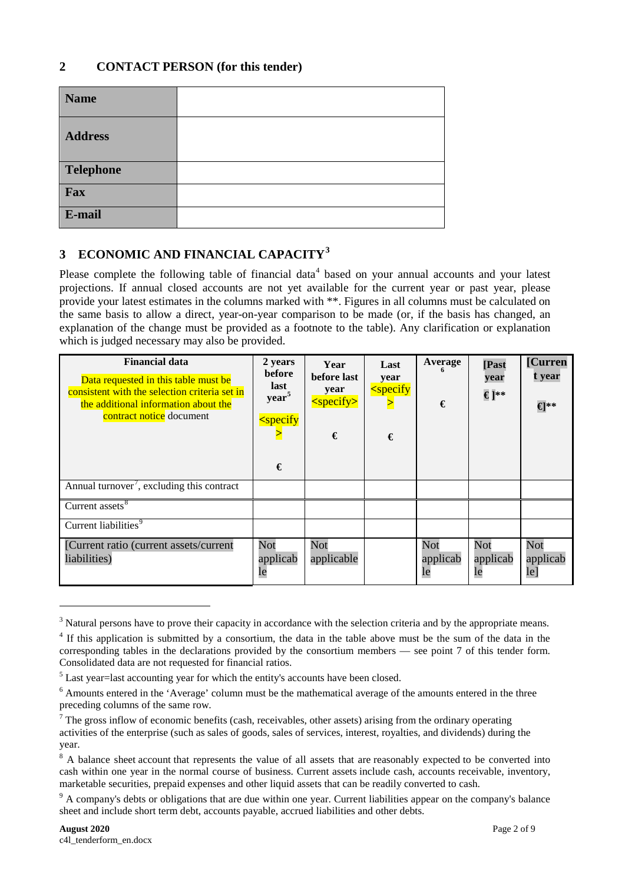### **2 CONTACT PERSON (for this tender)**

| <b>Name</b>      |  |
|------------------|--|
| <b>Address</b>   |  |
| <b>Telephone</b> |  |
| Fax              |  |
| E-mail           |  |

# **3 ECONOMIC AND FINANCIAL CAPACITY[3](#page-1-0)**

Please complete the following table of financial data<sup>[4](#page-1-1)</sup> based on your annual accounts and your latest projections. If annual closed accounts are not yet available for the current year or past year, please provide your latest estimates in the columns marked with \*\*. Figures in all columns must be calculated on the same basis to allow a direct, year-on-year comparison to be made (or, if the basis has changed, an explanation of the change must be provided as a footnote to the table). Any clarification or explanation which is judged necessary may also be provided.

| <b>Financial data</b><br>Data requested in this table must be<br>consistent with the selection criteria set in<br>the additional information about the<br>contract notice document | 2 years<br>before<br>last<br>year <sup>5</sup><br>$<$ specify<br>€ | Year<br>before last<br>year<br>$<$ specify><br>€ | Last<br>year<br>$<$ specify<br>€ | Average<br>€          | [Past<br>year<br>€]** | [Curren<br>t year<br>€** |
|------------------------------------------------------------------------------------------------------------------------------------------------------------------------------------|--------------------------------------------------------------------|--------------------------------------------------|----------------------------------|-----------------------|-----------------------|--------------------------|
| Annual turnover', excluding this contract                                                                                                                                          |                                                                    |                                                  |                                  |                       |                       |                          |
| Current assets <sup>8</sup>                                                                                                                                                        |                                                                    |                                                  |                                  |                       |                       |                          |
| Current liabilities <sup>9</sup>                                                                                                                                                   |                                                                    |                                                  |                                  |                       |                       |                          |
| [Current ratio (current assets/current<br>liabilities)                                                                                                                             | Not<br>applicab<br>le                                              | Not<br>applicable                                |                                  | Not<br>applicab<br>le | Not<br>applicab<br>le | Not<br>applicab<br>le]   |

<span id="page-1-0"></span><sup>&</sup>lt;sup>3</sup> Natural persons have to prove their capacity in accordance with the selection criteria and by the appropriate means.

-

<span id="page-1-1"></span><sup>&</sup>lt;sup>4</sup> If this application is submitted by a consortium, the data in the table above must be the sum of the data in the corresponding tables in the declarations provided by the consortium members — see point 7 of this tender form. Consolidated data are not requested for financial ratios.

<span id="page-1-2"></span><sup>&</sup>lt;sup>5</sup> Last year=last accounting year for which the entity's accounts have been closed.

<span id="page-1-3"></span><sup>6</sup> Amounts entered in the 'Average' column must be the mathematical average of the amounts entered in the three preceding columns of the same row.

<span id="page-1-4"></span> $<sup>7</sup>$  The gross inflow of economic benefits (cash, receivables, other assets) arising from the ordinary operating</sup> activities of the enterprise (such as sales of goods, sales of services, interest, royalties, and dividends) during the year.

<span id="page-1-5"></span><sup>&</sup>lt;sup>8</sup> A balance sheet account that represents the value of all assets that are reasonably expected to be converted into cash within one year in the normal course of business. Current assets include cash, accounts receivable, inventory, marketable securities, prepaid expenses and other liquid assets that can be readily converted to cash.

<span id="page-1-6"></span><sup>&</sup>lt;sup>9</sup> A company's debts or obligations that are due within one year. Current liabilities appear on the company's balance sheet and include short term debt, accounts payable, accrued liabilities and other debts.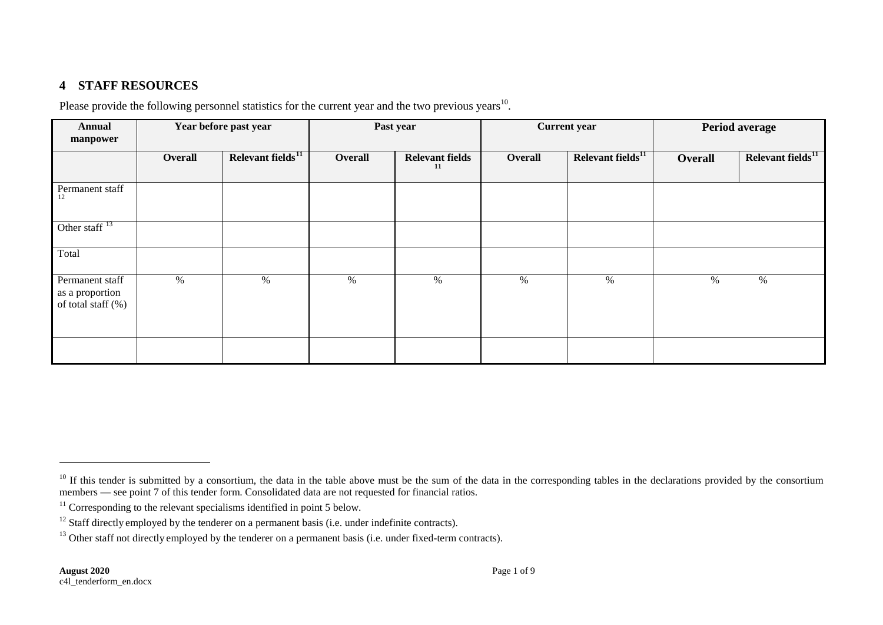# <span id="page-2-3"></span><span id="page-2-2"></span><span id="page-2-1"></span><span id="page-2-0"></span>**4 STAFF RESOURCES**

Please provide the following personnel statistics for the current year and the two previous years<sup>[10](#page-2-0)</sup>.

| <b>Annual</b><br>manpower                                |         | Year before past year         | Past year |                              | <b>Current year</b> |                         | Period average |                               |
|----------------------------------------------------------|---------|-------------------------------|-----------|------------------------------|---------------------|-------------------------|----------------|-------------------------------|
|                                                          | Overall | Relevant fields <sup>11</sup> | Overall   | <b>Relevant fields</b><br>11 | Overall             | Relevant fields $^{11}$ | Overall        | Relevant fields <sup>11</sup> |
| Permanent staff<br>12                                    |         |                               |           |                              |                     |                         |                |                               |
| Other staff $13$                                         |         |                               |           |                              |                     |                         |                |                               |
| Total                                                    |         |                               |           |                              |                     |                         |                |                               |
| Permanent staff<br>as a proportion<br>of total staff (%) | %       | $\%$                          | %         | $\%$                         | %                   | %                       | %              | $\%$                          |
|                                                          |         |                               |           |                              |                     |                         |                |                               |

 $\overline{a}$ 

<sup>&</sup>lt;sup>10</sup> If this tender is submitted by a consortium, the data in the table above must be the sum of the data in the corresponding tables in the declarations provided by the consortium members — see point 7 of this tender form. Consolidated data are not requested for financial ratios.

 $11$  Corresponding to the relevant specialisms identified in point 5 below.

<sup>&</sup>lt;sup>12</sup> Staff directly employed by the tenderer on a permanent basis (i.e. under indefinite contracts).

<sup>&</sup>lt;sup>13</sup> Other staff not directly employed by the tenderer on a permanent basis (i.e. under fixed-term contracts).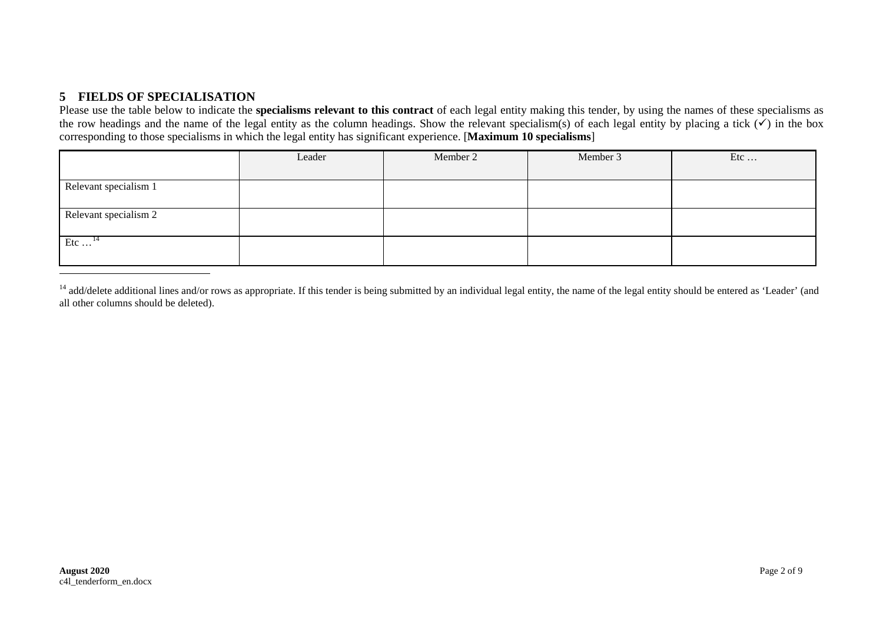# <span id="page-3-0"></span>**5 FIELDS OF SPECIALISATION**

Please use the table below to indicate the **specialisms relevant to this contract** of each legal entity making this tender, by using the names of these specialisms as the row headings and the name of the legal entity as the column headings. Show the relevant specialism(s) of each legal entity by placing a tick  $(\check{\checkmark})$  in the box corresponding to those specialisms in which the legal entity has significant experience. [**Maximum 10 specialisms**]

|                           | Leader | Member 2 | Member 3 | Etc |
|---------------------------|--------|----------|----------|-----|
|                           |        |          |          |     |
| Relevant specialism 1     |        |          |          |     |
|                           |        |          |          |     |
| Relevant specialism 2     |        |          |          |     |
|                           |        |          |          |     |
| Etc $\dots$ <sup>14</sup> |        |          |          |     |
|                           |        |          |          |     |

<sup>&</sup>lt;sup>14</sup> add/delete additional lines and/or rows as appropriate. If this tender is being submitted by an individual legal entity, the name of the legal entity should be entered as 'Leader' (and all other columns should be deleted).

-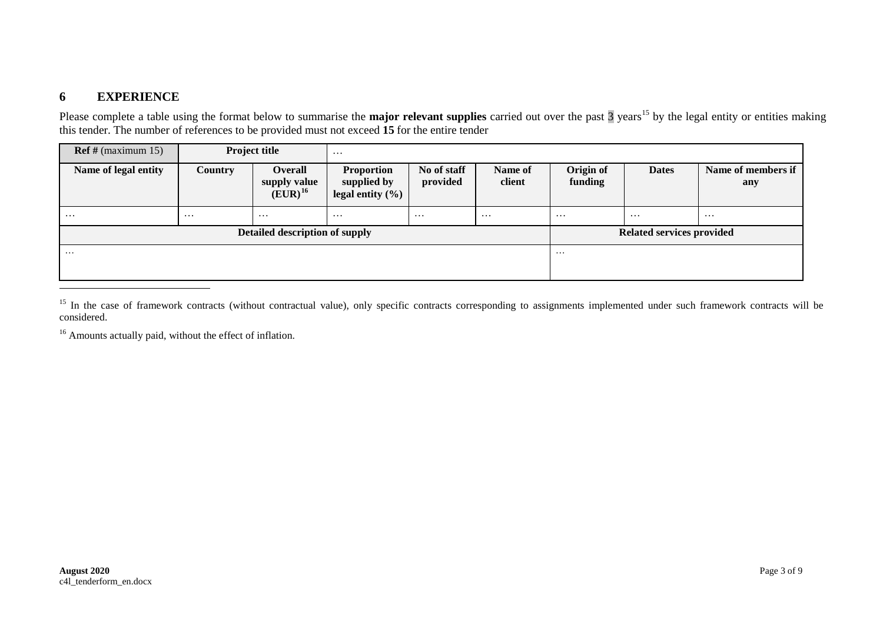# <span id="page-4-1"></span><span id="page-4-0"></span>**6 EXPERIENCE**

-

Please complete a table using the format below to summarise the **major relevant supplies** carried out over the past  $\frac{3}{3}$  years<sup>[15](#page-4-0)</sup> by the legal entity or entities making this tender. The number of references to be provided must not exceed **15** for the entire tender

| $\text{Ref } \# \text{ (maximum 15)}$ |                | <b>Project title</b>                           | $\cdots$                                                 |                         |                   |                                  |              |                           |
|---------------------------------------|----------------|------------------------------------------------|----------------------------------------------------------|-------------------------|-------------------|----------------------------------|--------------|---------------------------|
| Name of legal entity                  | <b>Country</b> | <b>Overall</b><br>supply value<br>$(EUR)^{16}$ | <b>Proportion</b><br>supplied by<br>legal entity $(\% )$ | No of staff<br>provided | Name of<br>client | Origin of<br>funding             | <b>Dates</b> | Name of members if<br>any |
| $\cdots$                              | $\cdots$       | $\cdots$                                       | $\cdots$                                                 | $\cdots$                | $\cdots$          | $\cdots$                         | $\cdots$     | $\cdots$                  |
| Detailed description of supply        |                |                                                |                                                          |                         |                   | <b>Related services provided</b> |              |                           |
| $\cdots$                              |                |                                                |                                                          |                         |                   | $\cdots$                         |              |                           |

<sup>&</sup>lt;sup>15</sup> In the case of framework contracts (without contractual value), only specific contracts corresponding to assignments implemented under such framework contracts will be considered.

<sup>16</sup> Amounts actually paid, without the effect of inflation.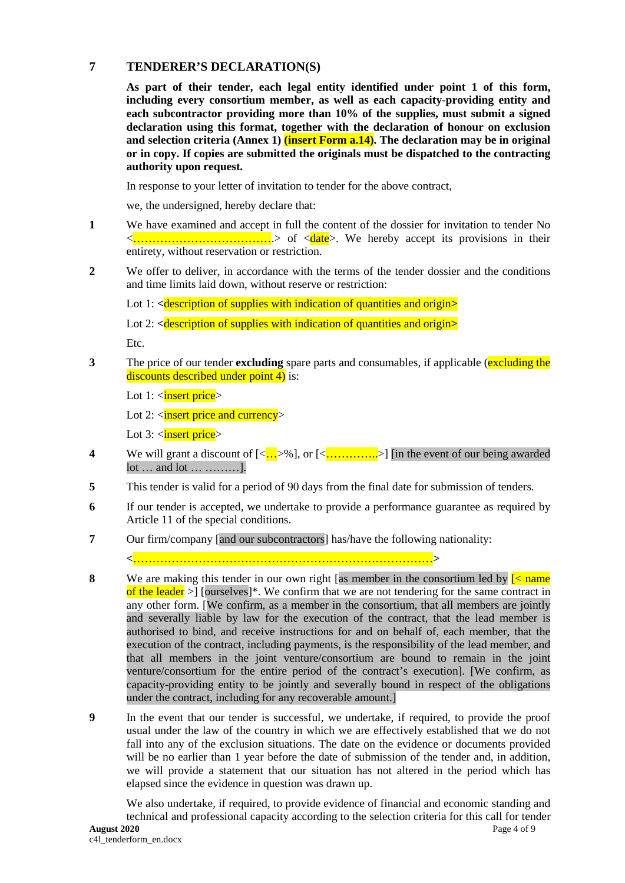#### **7 TENDERER'S DECLARATION(S)**

**As part of their tender, each legal entity identified under point 1 of this form, including every consortium member, as well as each capacity-providing entity and each subcontractor providing more than 10% of the supplies, must submit a signed declaration using this format, together with the declaration of honour on exclusion and selection criteria (Annex 1) (insert Form a.14). The declaration may be in original or in copy. If copies are submitted the originals must be dispatched to the contracting authority upon request.**

In response to your letter of invitation to tender for the above contract,

we, the undersigned, hereby declare that:

- **1** We have examined and accept in full the content of the dossier for invitation to tender No <……………………………….> of <date>. We hereby accept its provisions in their entirety, without reservation or restriction.
- **2** We offer to deliver, in accordance with the terms of the tender dossier and the conditions and time limits laid down, without reserve or restriction:

Lot 1: **<**description of supplies with indication of quantities and origin**>**

Lot 2: <*description of supplies with indication of quantities and origin***>** 

Etc.

**3** The price of our tender **excluding** spare parts and consumables, if applicable (**excluding the** discounts described under point 4) is:

Lot  $1:$   $\langle$  insert price $\rangle$ 

Lot 2:  $\langle$  insert price and currency >

Lot 3: <insert price>

- **4** We will grant a discount of  $\left[\langle \frac{n!}{n!} \rangle \right]$  or  $\left[\langle \frac{n!}{n!} \rangle \right]$  [in the event of our being awarded lot … and lot … ………].
- **5** This tender is valid for a period of 90 days from the final date for submission of tenders.
- **6** If our tender is accepted, we undertake to provide a performance guarantee as required by Article 11 of the special conditions.
- **7** Our firm/company [and our subcontractors] has/have the following nationality:

**<**……………………………………………………………………**>**

- **8** We are making this tender in our own right [as member in the consortium led by  $\leq$  name of the leader  $>1$  [ourselves]\*. We confirm that we are not tendering for the same contract in any other form. [We confirm, as a member in the consortium, that all members are jointly and severally liable by law for the execution of the contract, that the lead member is authorised to bind, and receive instructions for and on behalf of, each member, that the execution of the contract, including payments, is the responsibility of the lead member, and that all members in the joint venture/consortium are bound to remain in the joint venture/consortium for the entire period of the contract's execution]. [We confirm, as capacity-providing entity to be jointly and severally bound in respect of the obligations under the contract, including for any recoverable amount.]
- **9** In the event that our tender is successful, we undertake, if required, to provide the proof usual under the law of the country in which we are effectively established that we do not fall into any of the exclusion situations. The date on the evidence or documents provided will be no earlier than 1 year before the date of submission of the tender and, in addition, we will provide a statement that our situation has not altered in the period which has elapsed since the evidence in question was drawn up.

**August 2020** Page 4 of 9 We also undertake, if required, to provide evidence of financial and economic standing and technical and professional capacity according to the selection criteria for this call for tender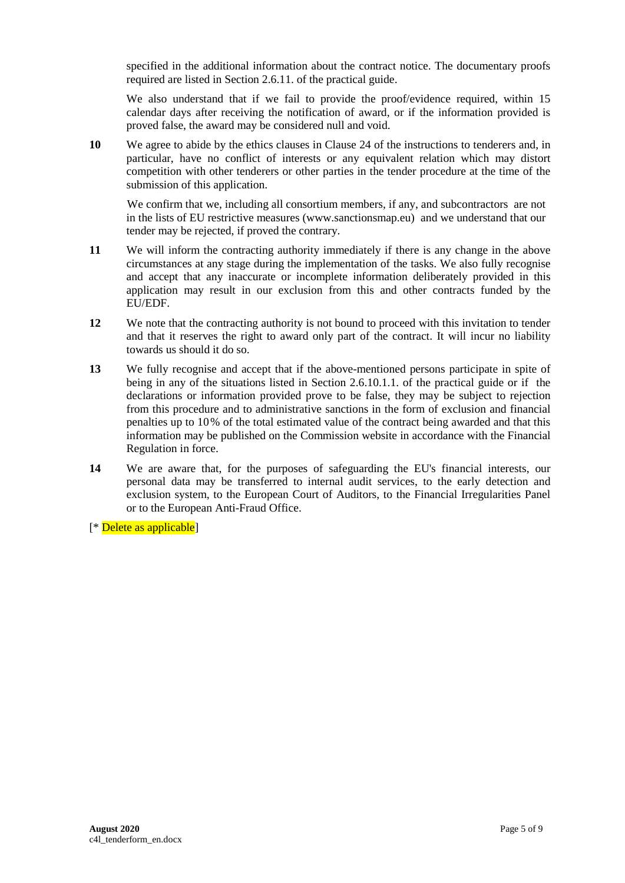specified in the additional information about the contract notice. The documentary proofs required are listed in Section 2.6.11. of the practical guide.

We also understand that if we fail to provide the proof/evidence required, within 15 calendar days after receiving the notification of award, or if the information provided is proved false, the award may be considered null and void.

**10** We agree to abide by the ethics clauses in Clause 24 of the instructions to tenderers and, in particular, have no conflict of interests or any equivalent relation which may distort competition with other tenderers or other parties in the tender procedure at the time of the submission of this application.

We confirm that we, including all consortium members, if any, and subcontractors are not in the lists of EU restrictive measures [\(www.sanctionsmap.eu\)](http://www.sanctionsmap.eu/) and we understand that our tender may be rejected, if proved the contrary.

- **11** We will inform the contracting authority immediately if there is any change in the above circumstances at any stage during the implementation of the tasks. We also fully recognise and accept that any inaccurate or incomplete information deliberately provided in this application may result in our exclusion from this and other contracts funded by the EU/EDF.
- **12** We note that the contracting authority is not bound to proceed with this invitation to tender and that it reserves the right to award only part of the contract. It will incur no liability towards us should it do so.
- **13** We fully recognise and accept that if the above-mentioned persons participate in spite of being in any of the situations listed in Section 2.6.10.1.1. of the practical guide or if the declarations or information provided prove to be false, they may be subject to rejection from this procedure and to administrative sanctions in the form of exclusion and financial penalties up to 10% of the total estimated value of the contract being awarded and that this information may be published on the Commission website in accordance with the Financial Regulation in force.
- **14** We are aware that, for the purposes of safeguarding the EU's financial interests, our personal data may be transferred to internal audit services, to the early detection and exclusion system, to the European Court of Auditors, to the Financial Irregularities Panel or to the European Anti-Fraud Office.

[\* Delete as applicable]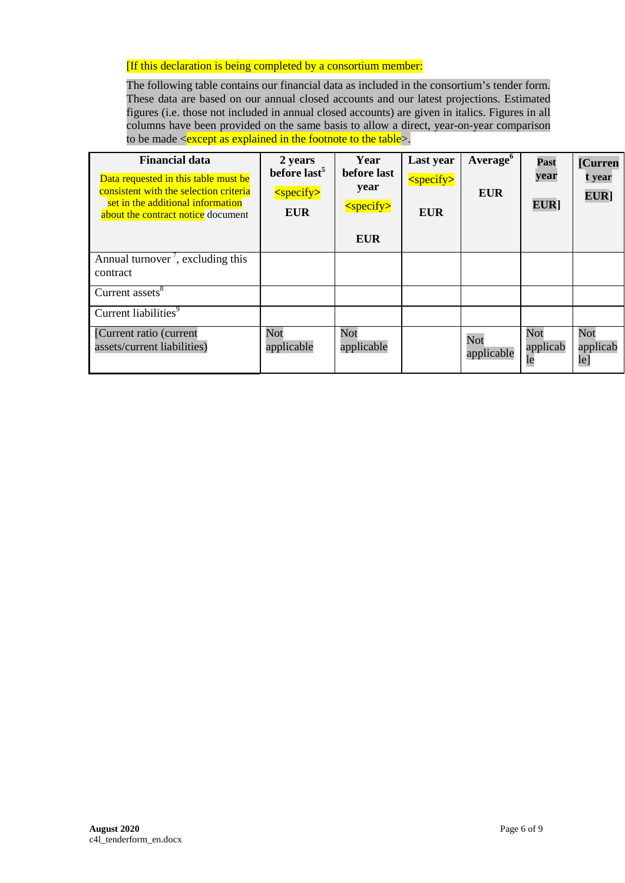#### [If this declaration is being completed by a consortium member:

The following table contains our financial data as included in the consortium's tender form. These data are based on our annual closed accounts and our latest projections. Estimated figures (i.e. those not included in annual closed accounts) are given in italics. Figures in all columns have been provided on the same basis to allow a direct, year-on-year comparison to be made  $\leq$  except as explained in the footnote to the table  $\geq$ .

| <b>Financial data</b><br>Data requested in this table must be<br>consistent with the selection criteria<br>set in the additional information<br>about the contract notice document | 2 years<br>before last <sup>5</sup><br>$<$ specify $>$<br><b>EUR</b> | Year<br>before last<br>year<br><specify><br/><b>EUR</b></specify> | Last year<br><specify><br/><b>EUR</b></specify> | Average <sup>6</sup><br><b>EUR</b> | Past<br>year<br>EUR]  | [Curren<br>t year<br>EUR] |
|------------------------------------------------------------------------------------------------------------------------------------------------------------------------------------|----------------------------------------------------------------------|-------------------------------------------------------------------|-------------------------------------------------|------------------------------------|-----------------------|---------------------------|
| Annual turnover <sup>'</sup> , excluding this<br>contract                                                                                                                          |                                                                      |                                                                   |                                                 |                                    |                       |                           |
| Current assets <sup>8</sup>                                                                                                                                                        |                                                                      |                                                                   |                                                 |                                    |                       |                           |
| Current liabilities <sup>9</sup>                                                                                                                                                   |                                                                      |                                                                   |                                                 |                                    |                       |                           |
| [Current ratio (current<br>assets/current liabilities)                                                                                                                             | Not<br>applicable                                                    | Not<br>applicable                                                 |                                                 | Not<br>applicable                  | Not<br>applicab<br>le | Not<br>applicab<br>le]    |